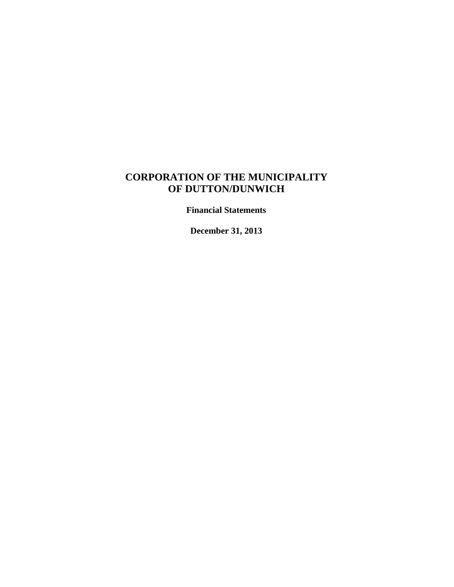**Financial Statements**

**December 31, 2013**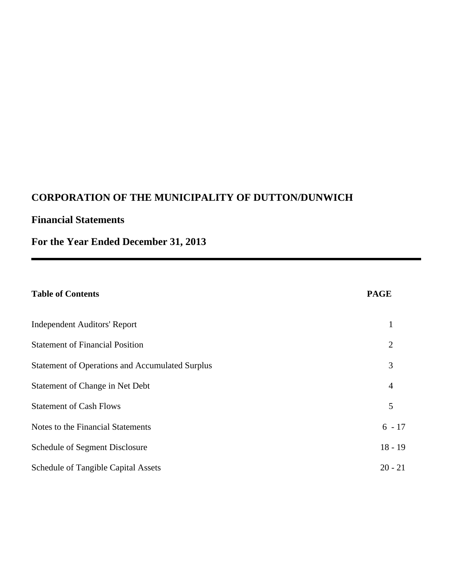# **Financial Statements**

# **For the Year Ended December 31, 2013**

| <b>Table of Contents</b>                               | <b>PAGE</b>    |
|--------------------------------------------------------|----------------|
| <b>Independent Auditors' Report</b>                    |                |
| <b>Statement of Financial Position</b>                 | $\overline{2}$ |
| <b>Statement of Operations and Accumulated Surplus</b> | 3              |
| Statement of Change in Net Debt                        | 4              |
| <b>Statement of Cash Flows</b>                         | 5              |
| Notes to the Financial Statements                      | $6 - 17$       |
| Schedule of Segment Disclosure                         | $18 - 19$      |
| Schedule of Tangible Capital Assets                    | $20 - 21$      |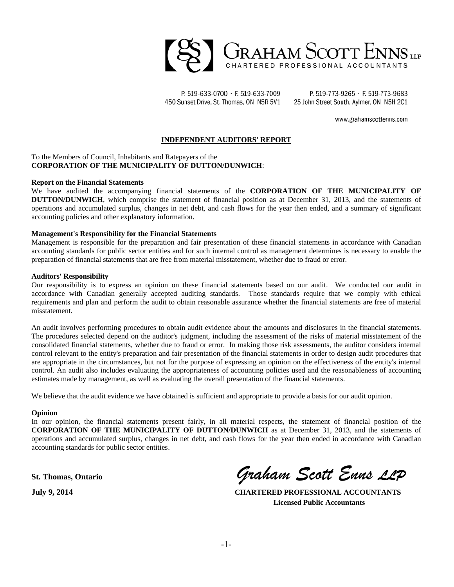

P. 519-633-0700 · F. 519-633-7009 450 Sunset Drive, St. Thomas, ON N5R 5V1

P. 519-773-9265 · F. 519-773-9683 25 John Street South, Aylmer, ON N5H 2C1

www.grahamscottenns.com

#### **INDEPENDENT AUDITORS' REPORT**

#### To the Members of Council, Inhabitants and Ratepayers of the **CORPORATION OF THE MUNICIPALITY OF DUTTON/DUNWICH**:

#### **Report on the Financial Statements**

We have audited the accompanying financial statements of the **CORPORATION OF THE MUNICIPALITY OF DUTTON/DUNWICH**, which comprise the statement of financial position as at December 31, 2013, and the statements of operations and accumulated surplus, changes in net debt, and cash flows for the year then ended, and a summary of significant accounting policies and other explanatory information.

#### **Management's Responsibility for the Financial Statements**

Management is responsible for the preparation and fair presentation of these financial statements in accordance with Canadian accounting standards for public sector entities and for such internal control as management determines is necessary to enable the preparation of financial statements that are free from material misstatement, whether due to fraud or error.

#### **Auditors' Responsibility**

Our responsibility is to express an opinion on these financial statements based on our audit. We conducted our audit in accordance with Canadian generally accepted auditing standards. Those standards require that we comply with ethical requirements and plan and perform the audit to obtain reasonable assurance whether the financial statements are free of material misstatement.

An audit involves performing procedures to obtain audit evidence about the amounts and disclosures in the financial statements. The procedures selected depend on the auditor's judgment, including the assessment of the risks of material misstatement of the consolidated financial statements, whether due to fraud or error. In making those risk assessments, the auditor considers internal control relevant to the entity's preparation and fair presentation of the financial statements in order to design audit procedures that are appropriate in the circumstances, but not for the purpose of expressing an opinion on the effectiveness of the entity's internal control. An audit also includes evaluating the appropriateness of accounting policies used and the reasonableness of accounting estimates made by management, as well as evaluating the overall presentation of the financial statements.

We believe that the audit evidence we have obtained is sufficient and appropriate to provide a basis for our audit opinion.

#### **Opinion**

In our opinion, the financial statements present fairly, in all material respects, the statement of financial position of the **CORPORATION OF THE MUNICIPALITY OF DUTTON/DUNWICH** as at December 31, 2013, and the statements of operations and accumulated surplus, changes in net debt, and cash flows for the year then ended in accordance with Canadian accounting standards for public sector entities.

**St. Thomas, Ontario** *Graham Scott Enns LLP*

**July 9, 2014 CHARTERED PROFESSIONAL ACCOUNTANTS Licensed Public Accountants**

-1-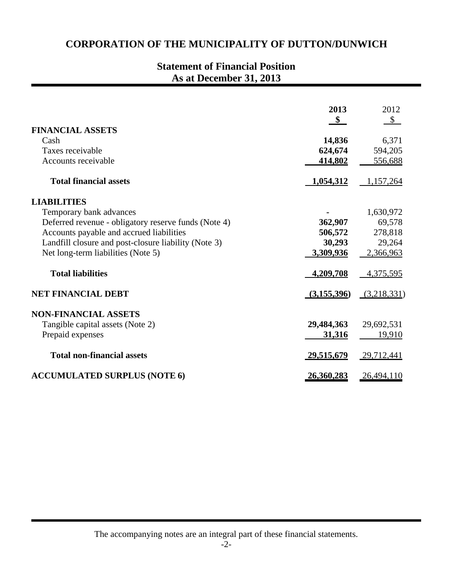# **Statement of Financial Position As at December 31, 2013**

|                                                      | 2013<br>$\sqrt{\frac{2}{5}}$ | 2012<br>$\sqrt$ |
|------------------------------------------------------|------------------------------|-----------------|
| <b>FINANCIAL ASSETS</b>                              |                              |                 |
| Cash                                                 | 14,836                       | 6,371           |
| Taxes receivable                                     | 624,674                      | 594,205         |
| Accounts receivable                                  | 414,802                      | 556,688         |
| <b>Total financial assets</b>                        | <u>1,054,312</u>             | 1,157,264       |
| <b>LIABILITIES</b>                                   |                              |                 |
| Temporary bank advances                              |                              | 1,630,972       |
| Deferred revenue - obligatory reserve funds (Note 4) | 362,907                      | 69,578          |
| Accounts payable and accrued liabilities             | 506,572                      | 278,818         |
| Landfill closure and post-closure liability (Note 3) | 30,293                       | 29,264          |
| Net long-term liabilities (Note 5)                   | 3,309,936                    | 2,366,963       |
| <b>Total liabilities</b>                             | <u>4,209,708</u>             | 4,375,595       |
| <b>NET FINANCIAL DEBT</b>                            | (3,155,396)                  | (3,218,331)     |
| <b>NON-FINANCIAL ASSETS</b>                          |                              |                 |
| Tangible capital assets (Note 2)                     | 29,484,363                   | 29,692,531      |
| Prepaid expenses                                     | 31,316                       | 19,910          |
| <b>Total non-financial assets</b>                    | <u>29,515,679</u>            | 29,712,441      |
| <b>ACCUMULATED SURPLUS (NOTE 6)</b>                  | 26,360,283                   | 26,494,110      |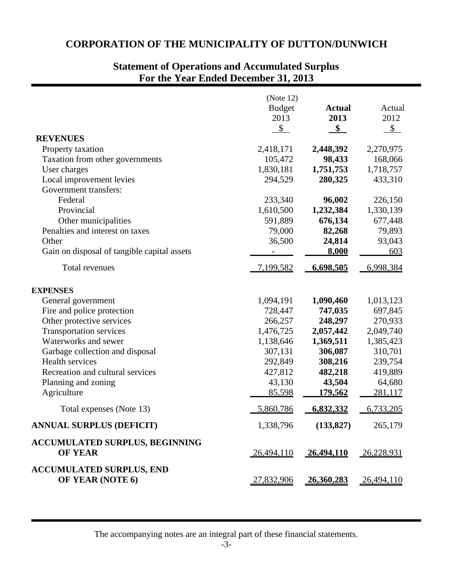| <b>REVENUES</b>                                         | (Note 12)<br><b>Budget</b><br>2013<br>$\mathbb{S}$ | <b>Actual</b><br>2013<br>$\mathbf{\$}$ | Actual<br>2012<br>$\mathbb{S}$ |
|---------------------------------------------------------|----------------------------------------------------|----------------------------------------|--------------------------------|
|                                                         |                                                    |                                        |                                |
| Property taxation<br>Taxation from other governments    | 2,418,171<br>105,472                               | 2,448,392<br>98,433                    | 2,270,975<br>168,066           |
| User charges                                            | 1,830,181                                          | 1,751,753                              | 1,718,757                      |
| Local improvement levies                                | 294,529                                            | 280,325                                | 433,310                        |
| Government transfers:                                   |                                                    |                                        |                                |
| Federal                                                 | 233,340                                            | 96,002                                 | 226,150                        |
| Provincial                                              | 1,610,500                                          | 1,232,384                              | 1,330,139                      |
| Other municipalities                                    | 591,889                                            | 676,134                                | 677,448                        |
| Penalties and interest on taxes                         | 79,000                                             | 82,268                                 | 79,893                         |
| Other                                                   | 36,500                                             | 24,814                                 | 93,043                         |
| Gain on disposal of tangible capital assets             |                                                    | 8,000                                  | 603                            |
|                                                         |                                                    |                                        |                                |
| <b>Total revenues</b>                                   | <u>7,199,582</u>                                   | 6,698,505                              | 6,998,384                      |
| <b>EXPENSES</b>                                         |                                                    |                                        |                                |
| General government                                      | 1,094,191                                          | 1,090,460                              | 1,013,123                      |
| Fire and police protection                              | 728,447                                            | 747,035                                | 697,845                        |
| Other protective services                               | 266,257                                            | 248,297                                | 270,933                        |
| Transportation services                                 | 1,476,725                                          | 2,057,442                              | 2,049,740                      |
| Waterworks and sewer                                    | 1,138,646                                          | 1,369,511                              | 1,385,423                      |
| Garbage collection and disposal                         | 307,131                                            | 306,087                                | 310,701                        |
| Health services                                         | 292,849                                            | 308,216                                | 239,754                        |
| Recreation and cultural services                        | 427,812                                            | 482,218                                | 419,889                        |
| Planning and zoning                                     | 43,130                                             | 43,504                                 | 64,680                         |
| Agriculture                                             | 85,598                                             | 179,562                                | 281,117                        |
| Total expenses (Note 13)                                | 5,860,786                                          | 6,832,332                              | 6,733,205                      |
| <b>ANNUAL SURPLUS (DEFICIT)</b>                         | 1,338,796                                          | (133, 827)                             | 265,179                        |
| <b>ACCUMULATED SURPLUS, BEGINNING</b><br><b>OF YEAR</b> | <u>26,494,110</u>                                  | 26,494,110                             | 26,228,931                     |
| <b>ACCUMULATED SURPLUS, END</b><br>OF YEAR (NOTE 6)     | 27,832,906                                         | 26,360,283                             | <u>26,494,110</u>              |

# **Statement of Operations and Accumulated Surplus For the Year Ended December 31, 2013**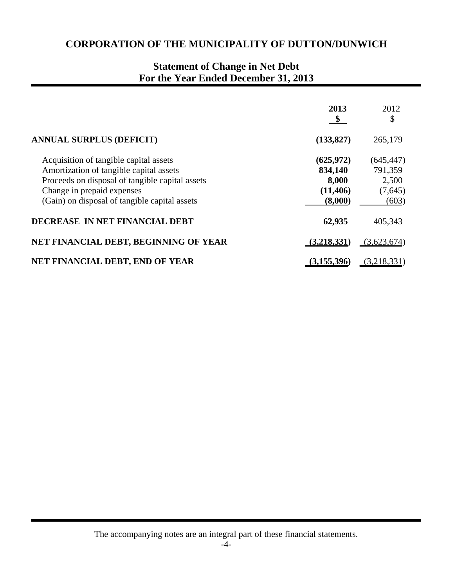# **Statement of Change in Net Debt For the Year Ended December 31, 2013**

|                                                                                                                                                                                                                     | 2013<br>\$                                             | 2012<br>$\mathcal{S}$                              |
|---------------------------------------------------------------------------------------------------------------------------------------------------------------------------------------------------------------------|--------------------------------------------------------|----------------------------------------------------|
| <b>ANNUAL SURPLUS (DEFICIT)</b>                                                                                                                                                                                     | (133, 827)                                             | 265,179                                            |
| Acquisition of tangible capital assets<br>Amortization of tangible capital assets<br>Proceeds on disposal of tangible capital assets<br>Change in prepaid expenses<br>(Gain) on disposal of tangible capital assets | (625, 972)<br>834,140<br>8,000<br>(11, 406)<br>(8,000) | (645, 447)<br>791,359<br>2,500<br>(7,645)<br>(603) |
| DECREASE IN NET FINANCIAL DEBT                                                                                                                                                                                      | 62,935                                                 | 405,343                                            |
| NET FINANCIAL DEBT, BEGINNING OF YEAR                                                                                                                                                                               | (3,218,331)                                            | (3,623,674)                                        |
| NET FINANCIAL DEBT, END OF YEAR                                                                                                                                                                                     | (3, 155, 396)                                          | (3,218,331)                                        |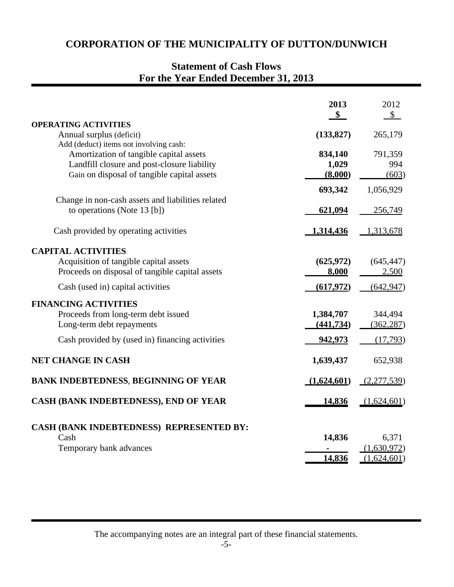# **Statement of Cash Flows For the Year Ended December 31, 2013**

|                                                   | 2013<br>\$   | 2012<br>$\mathbb{S}$ |
|---------------------------------------------------|--------------|----------------------|
| <b>OPERATING ACTIVITIES</b>                       |              |                      |
| Annual surplus (deficit)                          | (133, 827)   | 265,179              |
| Add (deduct) items not involving cash:            |              |                      |
| Amortization of tangible capital assets           | 834,140      | 791,359              |
| Landfill closure and post-closure liability       | 1,029        | 994                  |
| Gain on disposal of tangible capital assets       | (8,000)      | (603)                |
|                                                   | 693,342      | 1,056,929            |
| Change in non-cash assets and liabilities related |              |                      |
| to operations (Note 13 [b])                       | 621,094      | 256,749              |
| Cash provided by operating activities             | 1,314,436    | 1,313,678            |
| <b>CAPITAL ACTIVITIES</b>                         |              |                      |
| Acquisition of tangible capital assets            | (625, 972)   | (645, 447)           |
| Proceeds on disposal of tangible capital assets   | <u>8,000</u> | 2,500                |
| Cash (used in) capital activities                 | (617,972)    | (642, 947)           |
| <b>FINANCING ACTIVITIES</b>                       |              |                      |
| Proceeds from long-term debt issued               | 1,384,707    | 344,494              |
| Long-term debt repayments                         | (441, 734)   | (362, 287)           |
| Cash provided by (used in) financing activities   | 942,973      | (17,793)             |
| <b>NET CHANGE IN CASH</b>                         | 1,639,437    | 652,938              |
| <b>BANK INDEBTEDNESS, BEGINNING OF YEAR</b>       | (1,624,601)  | (2,277,539)          |
| CASH (BANK INDEBTEDNESS), END OF YEAR             | 14,836       | (1,624,601)          |
| CASH (BANK INDEBTEDNESS) REPRESENTED BY:          |              |                      |
| Cash                                              | 14,836       | 6,371                |
| Temporary bank advances                           |              | (1,630,972)          |
|                                                   | 14,836       | (1,624,601)          |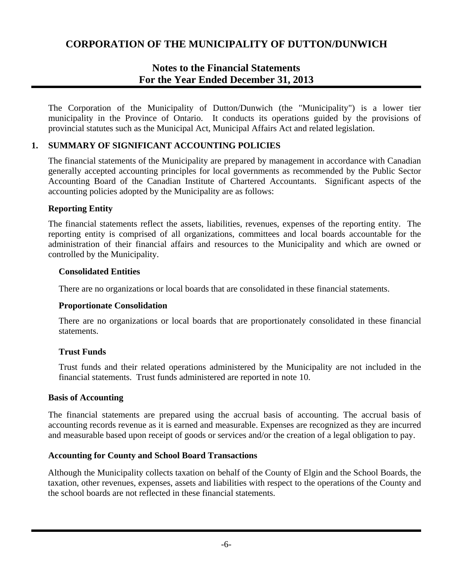### **Notes to the Financial Statements For the Year Ended December 31, 2013**

The Corporation of the Municipality of Dutton/Dunwich (the "Municipality") is a lower tier municipality in the Province of Ontario. It conducts its operations guided by the provisions of provincial statutes such as the Municipal Act, Municipal Affairs Act and related legislation.

### **1. SUMMARY OF SIGNIFICANT ACCOUNTING POLICIES**

The financial statements of the Municipality are prepared by management in accordance with Canadian generally accepted accounting principles for local governments as recommended by the Public Sector Accounting Board of the Canadian Institute of Chartered Accountants. Significant aspects of the accounting policies adopted by the Municipality are as follows:

#### **Reporting Entity**

The financial statements reflect the assets, liabilities, revenues, expenses of the reporting entity. The reporting entity is comprised of all organizations, committees and local boards accountable for the administration of their financial affairs and resources to the Municipality and which are owned or controlled by the Municipality.

#### **Consolidated Entities**

There are no organizations or local boards that are consolidated in these financial statements.

### **Proportionate Consolidation**

There are no organizations or local boards that are proportionately consolidated in these financial statements.

### **Trust Funds**

Trust funds and their related operations administered by the Municipality are not included in the financial statements. Trust funds administered are reported in note 10.

#### **Basis of Accounting**

The financial statements are prepared using the accrual basis of accounting. The accrual basis of accounting records revenue as it is earned and measurable. Expenses are recognized as they are incurred and measurable based upon receipt of goods or services and/or the creation of a legal obligation to pay.

### **Accounting for County and School Board Transactions**

Although the Municipality collects taxation on behalf of the County of Elgin and the School Boards, the taxation, other revenues, expenses, assets and liabilities with respect to the operations of the County and the school boards are not reflected in these financial statements.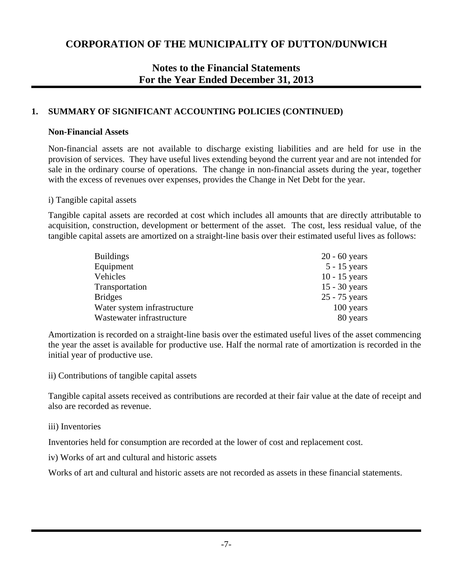### **Notes to the Financial Statements For the Year Ended December 31, 2013**

### **1. SUMMARY OF SIGNIFICANT ACCOUNTING POLICIES (CONTINUED)**

#### **Non-Financial Assets**

Non-financial assets are not available to discharge existing liabilities and are held for use in the provision of services. They have useful lives extending beyond the current year and are not intended for sale in the ordinary course of operations. The change in non-financial assets during the year, together with the excess of revenues over expenses, provides the Change in Net Debt for the year.

#### i) Tangible capital assets

Tangible capital assets are recorded at cost which includes all amounts that are directly attributable to acquisition, construction, development or betterment of the asset. The cost, less residual value, of the tangible capital assets are amortized on a straight-line basis over their estimated useful lives as follows:

| <b>Buildings</b>            | $20 - 60$ years |
|-----------------------------|-----------------|
| Equipment                   | $5 - 15$ years  |
| Vehicles                    | $10 - 15$ years |
| Transportation              | $15 - 30$ years |
| <b>Bridges</b>              | 25 - 75 years   |
| Water system infrastructure | 100 years       |
| Wastewater infrastructure   | 80 years        |

Amortization is recorded on a straight-line basis over the estimated useful lives of the asset commencing the year the asset is available for productive use. Half the normal rate of amortization is recorded in the initial year of productive use.

ii) Contributions of tangible capital assets

Tangible capital assets received as contributions are recorded at their fair value at the date of receipt and also are recorded as revenue.

#### iii) Inventories

Inventories held for consumption are recorded at the lower of cost and replacement cost.

iv) Works of art and cultural and historic assets

Works of art and cultural and historic assets are not recorded as assets in these financial statements.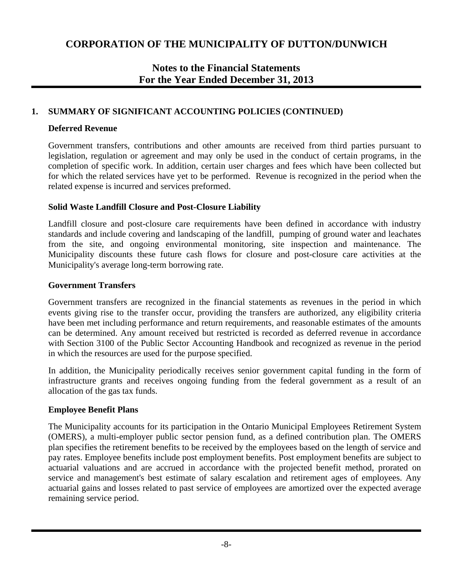### **Notes to the Financial Statements For the Year Ended December 31, 2013**

### **1. SUMMARY OF SIGNIFICANT ACCOUNTING POLICIES (CONTINUED)**

#### **Deferred Revenue**

Government transfers, contributions and other amounts are received from third parties pursuant to legislation, regulation or agreement and may only be used in the conduct of certain programs, in the completion of specific work. In addition, certain user charges and fees which have been collected but for which the related services have yet to be performed. Revenue is recognized in the period when the related expense is incurred and services preformed.

#### **Solid Waste Landfill Closure and Post-Closure Liability**

Landfill closure and post-closure care requirements have been defined in accordance with industry standards and include covering and landscaping of the landfill, pumping of ground water and leachates from the site, and ongoing environmental monitoring, site inspection and maintenance. The Municipality discounts these future cash flows for closure and post-closure care activities at the Municipality's average long-term borrowing rate.

#### **Government Transfers**

Government transfers are recognized in the financial statements as revenues in the period in which events giving rise to the transfer occur, providing the transfers are authorized, any eligibility criteria have been met including performance and return requirements, and reasonable estimates of the amounts can be determined. Any amount received but restricted is recorded as deferred revenue in accordance with Section 3100 of the Public Sector Accounting Handbook and recognized as revenue in the period in which the resources are used for the purpose specified.

In addition, the Municipality periodically receives senior government capital funding in the form of infrastructure grants and receives ongoing funding from the federal government as a result of an allocation of the gas tax funds.

#### **Employee Benefit Plans**

The Municipality accounts for its participation in the Ontario Municipal Employees Retirement System (OMERS), a multi-employer public sector pension fund, as a defined contribution plan. The OMERS plan specifies the retirement benefits to be received by the employees based on the length of service and pay rates. Employee benefits include post employment benefits. Post employment benefits are subject to actuarial valuations and are accrued in accordance with the projected benefit method, prorated on service and management's best estimate of salary escalation and retirement ages of employees. Any actuarial gains and losses related to past service of employees are amortized over the expected average remaining service period.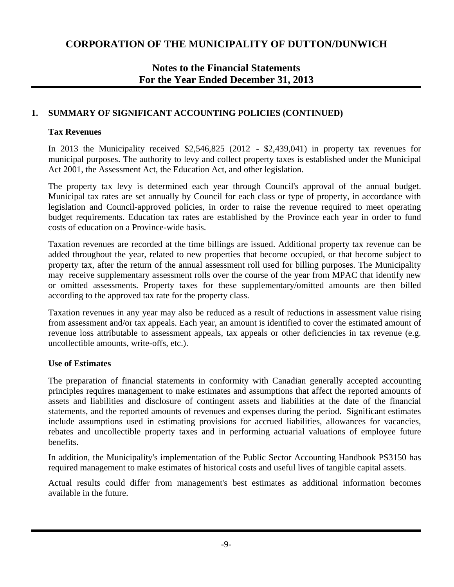### **Notes to the Financial Statements For the Year Ended December 31, 2013**

### **1. SUMMARY OF SIGNIFICANT ACCOUNTING POLICIES (CONTINUED)**

### **Tax Revenues**

In 2013 the Municipality received \$2,546,825 (2012 - \$2,439,041) in property tax revenues for municipal purposes. The authority to levy and collect property taxes is established under the Municipal Act 2001, the Assessment Act, the Education Act, and other legislation.

The property tax levy is determined each year through Council's approval of the annual budget. Municipal tax rates are set annually by Council for each class or type of property, in accordance with legislation and Council-approved policies, in order to raise the revenue required to meet operating budget requirements. Education tax rates are established by the Province each year in order to fund costs of education on a Province-wide basis.

Taxation revenues are recorded at the time billings are issued. Additional property tax revenue can be added throughout the year, related to new properties that become occupied, or that become subject to property tax, after the return of the annual assessment roll used for billing purposes. The Municipality may receive supplementary assessment rolls over the course of the year from MPAC that identify new or omitted assessments. Property taxes for these supplementary/omitted amounts are then billed according to the approved tax rate for the property class.

Taxation revenues in any year may also be reduced as a result of reductions in assessment value rising from assessment and/or tax appeals. Each year, an amount is identified to cover the estimated amount of revenue loss attributable to assessment appeals, tax appeals or other deficiencies in tax revenue (e.g. uncollectible amounts, write-offs, etc.).

### **Use of Estimates**

The preparation of financial statements in conformity with Canadian generally accepted accounting principles requires management to make estimates and assumptions that affect the reported amounts of assets and liabilities and disclosure of contingent assets and liabilities at the date of the financial statements, and the reported amounts of revenues and expenses during the period. Significant estimates include assumptions used in estimating provisions for accrued liabilities, allowances for vacancies, rebates and uncollectible property taxes and in performing actuarial valuations of employee future benefits.

In addition, the Municipality's implementation of the Public Sector Accounting Handbook PS3150 has required management to make estimates of historical costs and useful lives of tangible capital assets.

Actual results could differ from management's best estimates as additional information becomes available in the future.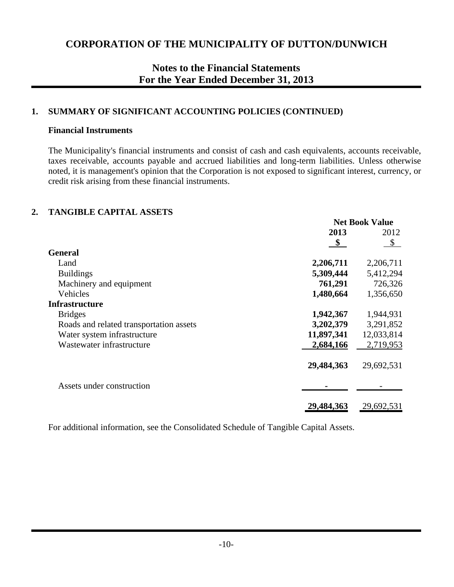### **Notes to the Financial Statements For the Year Ended December 31, 2013**

#### **1. SUMMARY OF SIGNIFICANT ACCOUNTING POLICIES (CONTINUED)**

#### **Financial Instruments**

The Municipality's financial instruments and consist of cash and cash equivalents, accounts receivable, taxes receivable, accounts payable and accrued liabilities and long-term liabilities. Unless otherwise noted, it is management's opinion that the Corporation is not exposed to significant interest, currency, or credit risk arising from these financial instruments.

#### **2. TANGIBLE CAPITAL ASSETS**

|                                         | <b>Net Book Value</b> |              |
|-----------------------------------------|-----------------------|--------------|
|                                         | 2013                  | 2012         |
|                                         | $\bullet$             | $\mathbb{S}$ |
| <b>General</b>                          |                       |              |
| Land                                    | 2,206,711             | 2,206,711    |
| <b>Buildings</b>                        | 5,309,444             | 5,412,294    |
| Machinery and equipment                 | 761,291               | 726,326      |
| Vehicles                                | 1,480,664             | 1,356,650    |
| <b>Infrastructure</b>                   |                       |              |
| <b>Bridges</b>                          | 1,942,367             | 1,944,931    |
| Roads and related transportation assets | 3,202,379             | 3,291,852    |
| Water system infrastructure             | 11,897,341            | 12,033,814   |
| Wastewater infrastructure               | 2,684,166             | 2,719,953    |
|                                         | 29,484,363            | 29,692,531   |
| Assets under construction               |                       |              |
|                                         | 29,484,363            | 29,692,531   |

For additional information, see the Consolidated Schedule of Tangible Capital Assets.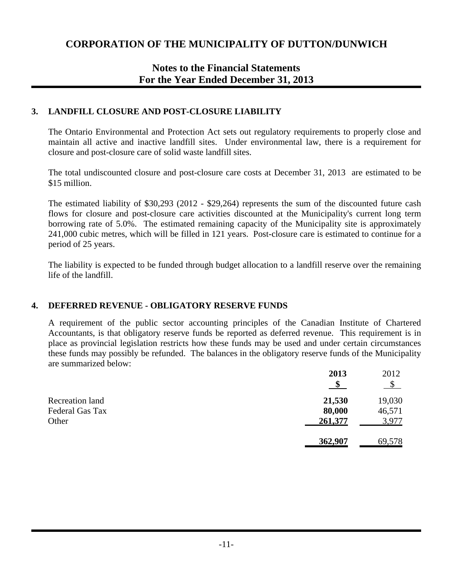### **Notes to the Financial Statements For the Year Ended December 31, 2013**

### **3. LANDFILL CLOSURE AND POST-CLOSURE LIABILITY**

The Ontario Environmental and Protection Act sets out regulatory requirements to properly close and maintain all active and inactive landfill sites. Under environmental law, there is a requirement for closure and post-closure care of solid waste landfill sites.

The total undiscounted closure and post-closure care costs at December 31, 2013 are estimated to be \$15 million.

The estimated liability of \$30,293 (2012 - \$29,264) represents the sum of the discounted future cash flows for closure and post-closure care activities discounted at the Municipality's current long term borrowing rate of 5.0%. The estimated remaining capacity of the Municipality site is approximately 241,000 cubic metres, which will be filled in 121 years. Post-closure care is estimated to continue for a period of 25 years.

The liability is expected to be funded through budget allocation to a landfill reserve over the remaining life of the landfill.

### **4. DEFERRED REVENUE - OBLIGATORY RESERVE FUNDS**

A requirement of the public sector accounting principles of the Canadian Institute of Chartered Accountants, is that obligatory reserve funds be reported as deferred revenue. This requirement is in place as provincial legislation restricts how these funds may be used and under certain circumstances these funds may possibly be refunded. The balances in the obligatory reserve funds of the Municipality are summarized below:

|                 | 2013    | 2012   |
|-----------------|---------|--------|
| Recreation land | 21,530  | 19,030 |
| Federal Gas Tax | 80,000  | 46,571 |
| Other           | 261,377 | 3,977  |
|                 | 362,907 | 69,578 |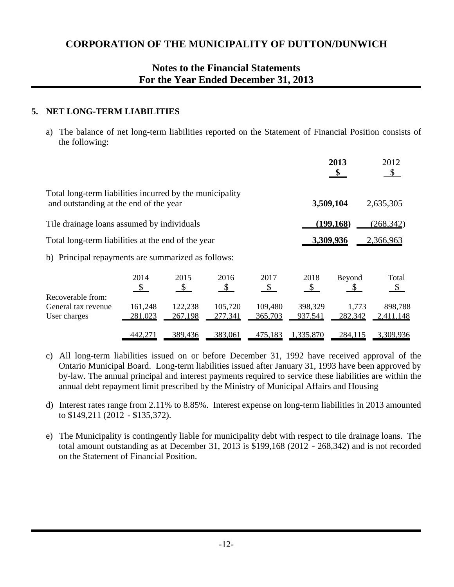### **Notes to the Financial Statements For the Year Ended December 31, 2013**

#### **5. NET LONG-TERM LIABILITIES**

a) The balance of net long-term liabilities reported on the Statement of Financial Position consists of the following:

|                                                                                                    |                           |                                            |                              |                    |                              | 2013<br>$\mathbf{\$}$   | 2012<br>$\mathcal{S}$  |
|----------------------------------------------------------------------------------------------------|---------------------------|--------------------------------------------|------------------------------|--------------------|------------------------------|-------------------------|------------------------|
| Total long-term liabilities incurred by the municipality<br>and outstanding at the end of the year |                           |                                            |                              |                    |                              | 3,509,104               | 2,635,305              |
| Tile drainage loans assumed by individuals                                                         |                           |                                            |                              |                    |                              | (199, 168)              | (268, 342)             |
| Total long-term liabilities at the end of the year                                                 |                           |                                            |                              |                    |                              | 3,309,936               | 2,366,963              |
| b) Principal repayments are summarized as follows:                                                 |                           |                                            |                              |                    |                              |                         |                        |
|                                                                                                    | 2014<br>$\sqrt{s}$        | 2015<br>$\mathbf{\underline{\mathcal{S}}}$ | 2016<br>$\sqrt{\frac{1}{2}}$ | 2017<br>$\sqrt{S}$ | 2018<br>$\sqrt{\frac{1}{2}}$ | Beyond<br>$\mathcal{S}$ | Total<br>$\mathcal{S}$ |
| Recoverable from:<br>General tax revenue<br>User charges                                           | 161,248<br><u>281,023</u> | 122,238<br>267,198                         | 105,720<br>277,341           | 109,480<br>365,703 | 398,329<br>937,541           | 1,773<br>282,342        | 898,788<br>2,411,148   |
|                                                                                                    | 442,271                   | 389,436                                    | 383,061                      | 475,183            | 1,335,870                    | 284,115                 | 3,309,936              |

- c) All long-term liabilities issued on or before December 31, 1992 have received approval of the Ontario Municipal Board. Long-term liabilities issued after January 31, 1993 have been approved by by-law. The annual principal and interest payments required to service these liabilities are within the annual debt repayment limit prescribed by the Ministry of Municipal Affairs and Housing
- d) Interest rates range from 2.11% to 8.85%. Interest expense on long-term liabilities in 2013 amounted to \$149,211 (2012 - \$135,372).
- e) The Municipality is contingently liable for municipality debt with respect to tile drainage loans. The total amount outstanding as at December 31, 2013 is \$199,168 (2012 - 268,342) and is not recorded on the Statement of Financial Position.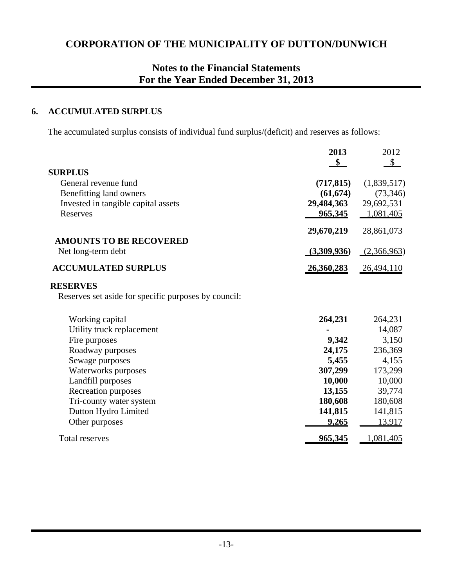# **Notes to the Financial Statements For the Year Ended December 31, 2013**

## **6. ACCUMULATED SURPLUS**

The accumulated surplus consists of individual fund surplus/(deficit) and reserves as follows:

|                                                      | 2013           | 2012          |
|------------------------------------------------------|----------------|---------------|
|                                                      | $\mathbf{s}$   | $\mathsf{\$}$ |
| <b>SURPLUS</b>                                       |                |               |
| General revenue fund                                 | (717, 815)     | (1,839,517)   |
| Benefitting land owners                              | (61, 674)      | (73, 346)     |
| Invested in tangible capital assets                  | 29,484,363     | 29,692,531    |
| Reserves                                             | <u>965,345</u> | 1,081,405     |
|                                                      | 29,670,219     | 28,861,073    |
| <b>AMOUNTS TO BE RECOVERED</b>                       |                |               |
| Net long-term debt                                   | (3,309,936)    | (2,366,963)   |
| <b>ACCUMULATED SURPLUS</b>                           | 26,360,283     | 26,494,110    |
| <b>RESERVES</b>                                      |                |               |
| Reserves set aside for specific purposes by council: |                |               |
| Working capital                                      | 264,231        | 264,231       |
| Utility truck replacement                            |                | 14,087        |
| Fire purposes                                        | 9,342          | 3,150         |
| Roadway purposes                                     | 24,175         | 236,369       |
| Sewage purposes                                      | 5,455          | 4,155         |
| Waterworks purposes                                  | 307,299        | 173,299       |
| Landfill purposes                                    | 10,000         | 10,000        |
| Recreation purposes                                  | 13,155         | 39,774        |
| Tri-county water system                              | 180,608        | 180,608       |
| Dutton Hydro Limited                                 | 141,815        | 141,815       |
| Other purposes                                       | 9,265          | 13,917        |
| Total reserves                                       | 965,345        | 1,081,405     |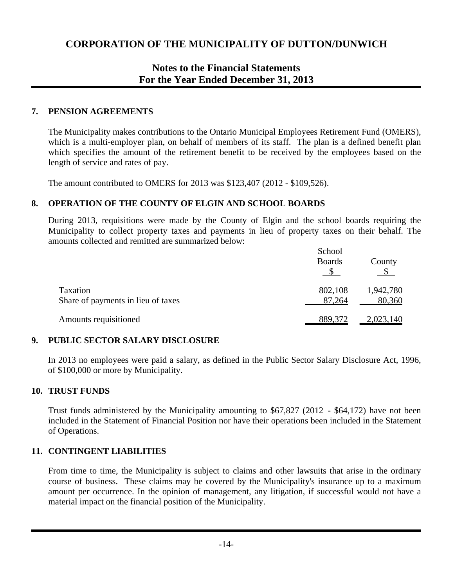### **Notes to the Financial Statements For the Year Ended December 31, 2013**

#### **7. PENSION AGREEMENTS**

The Municipality makes contributions to the Ontario Municipal Employees Retirement Fund (OMERS), which is a multi-employer plan, on behalf of members of its staff. The plan is a defined benefit plan which specifies the amount of the retirement benefit to be received by the employees based on the length of service and rates of pay.

The amount contributed to OMERS for 2013 was \$123,407 (2012 - \$109,526).

### **8. OPERATION OF THE COUNTY OF ELGIN AND SCHOOL BOARDS**

During 2013, requisitions were made by the County of Elgin and the school boards requiring the Municipality to collect property taxes and payments in lieu of property taxes on their behalf. The amounts collected and remitted are summarized below:

|                                                | School<br><b>Boards</b> | County              |
|------------------------------------------------|-------------------------|---------------------|
| Taxation<br>Share of payments in lieu of taxes | 802,108<br>87,264       | 1,942,780<br>80,360 |
| Amounts requisitioned                          | 889,372                 | 2,023,140           |

### **9. PUBLIC SECTOR SALARY DISCLOSURE**

In 2013 no employees were paid a salary, as defined in the Public Sector Salary Disclosure Act, 1996, of \$100,000 or more by Municipality.

#### **10. TRUST FUNDS**

Trust funds administered by the Municipality amounting to \$67,827 (2012 - \$64,172) have not been included in the Statement of Financial Position nor have their operations been included in the Statement of Operations.

### **11. CONTINGENT LIABILITIES**

From time to time, the Municipality is subject to claims and other lawsuits that arise in the ordinary course of business. These claims may be covered by the Municipality's insurance up to a maximum amount per occurrence. In the opinion of management, any litigation, if successful would not have a material impact on the financial position of the Municipality.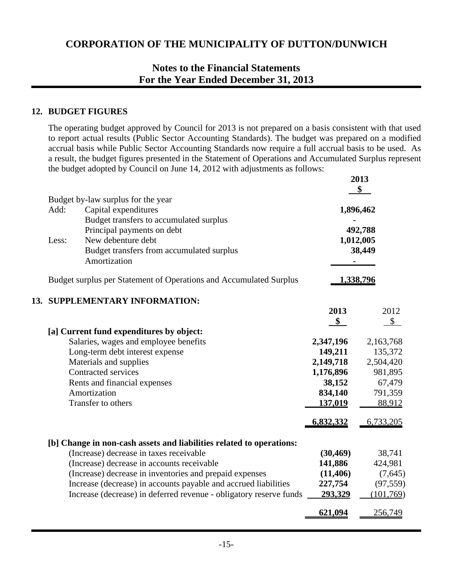### **Notes to the Financial Statements For the Year Ended December 31, 2013**

### **12. BUDGET FIGURES**

The operating budget approved by Council for 2013 is not prepared on a basis consistent with that used to report actual results (Public Sector Accounting Standards). The budget was prepared on a modified accrual basis while Public Sector Accounting Standards now require a full accrual basis to be used. As a result, the budget figures presented in the Statement of Operations and Accumulated Surplus represent the budget adopted by Council on June 14, 2012 with adjustments as follows: **2013**

|     |       |                                                                      |               | 201J<br>\$       |
|-----|-------|----------------------------------------------------------------------|---------------|------------------|
|     |       | Budget by-law surplus for the year                                   |               |                  |
|     | Add:  | Capital expenditures                                                 | 1,896,462     |                  |
|     |       | Budget transfers to accumulated surplus                              |               |                  |
|     |       | Principal payments on debt                                           |               | 492,788          |
|     | Less: | New debenture debt                                                   | 1,012,005     |                  |
|     |       | Budget transfers from accumulated surplus<br>Amortization            |               | 38,449           |
|     |       | Budget surplus per Statement of Operations and Accumulated Surplus   |               | <u>1,338,796</u> |
| 13. |       | SUPPLEMENTARY INFORMATION:                                           |               |                  |
|     |       |                                                                      | 2013          | 2012             |
|     |       |                                                                      | $\frac{1}{2}$ | $\underline{\$}$ |
|     |       | [a] Current fund expenditures by object:                             |               |                  |
|     |       | Salaries, wages and employee benefits                                | 2,347,196     | 2,163,768        |
|     |       | Long-term debt interest expense                                      | 149,211       | 135,372          |
|     |       | Materials and supplies                                               | 2,149,718     | 2,504,420        |
|     |       | <b>Contracted services</b>                                           | 1,176,896     | 981,895          |
|     |       | Rents and financial expenses                                         | 38,152        | 67,479           |
|     |       | Amortization                                                         | 834,140       | 791,359          |
|     |       | Transfer to others                                                   | 137,019       | 88,912           |
|     |       |                                                                      | 6,832,332     | 6,733,205        |
|     |       | [b] Change in non-cash assets and liabilities related to operations: |               |                  |
|     |       | (Increase) decrease in taxes receivable                              | (30, 469)     | 38,741           |
|     |       | (Increase) decrease in accounts receivable                           | 141,886       | 424,981          |
|     |       | (Increase) decrease in inventories and prepaid expenses              | (11, 406)     | (7,645)          |
|     |       | Increase (decrease) in accounts payable and accrued liabilities      | 227,754       | (97, 559)        |
|     |       | Increase (decrease) in deferred revenue - obligatory reserve funds   | 293,329       | (101,769)        |
|     |       |                                                                      | 621,094       | 256,749          |
|     |       |                                                                      |               |                  |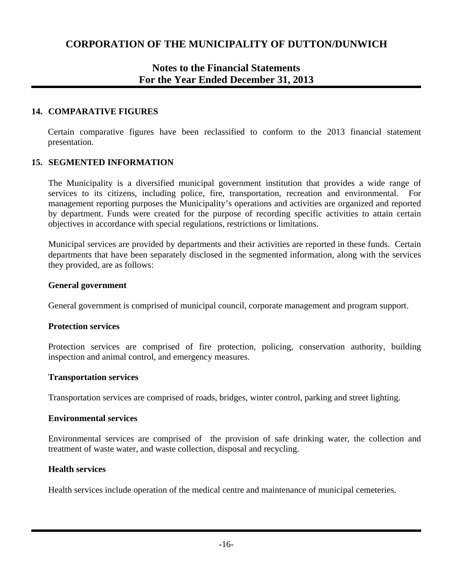### **Notes to the Financial Statements For the Year Ended December 31, 2013**

### **14. COMPARATIVE FIGURES**

Certain comparative figures have been reclassified to conform to the 2013 financial statement presentation.

#### **15. SEGMENTED INFORMATION**

The Municipality is a diversified municipal government institution that provides a wide range of services to its citizens, including police, fire, transportation, recreation and environmental. For management reporting purposes the Municipality's operations and activities are organized and reported by department. Funds were created for the purpose of recording specific activities to attain certain objectives in accordance with special regulations, restrictions or limitations.

Municipal services are provided by departments and their activities are reported in these funds. Certain departments that have been separately disclosed in the segmented information, along with the services they provided, are as follows:

#### **General government**

General government is comprised of municipal council, corporate management and program support.

#### **Protection services**

Protection services are comprised of fire protection, policing, conservation authority, building inspection and animal control, and emergency measures.

#### **Transportation services**

Transportation services are comprised of roads, bridges, winter control, parking and street lighting.

#### **Environmental services**

Environmental services are comprised of the provision of safe drinking water, the collection and treatment of waste water, and waste collection, disposal and recycling.

#### **Health services**

Health services include operation of the medical centre and maintenance of municipal cemeteries.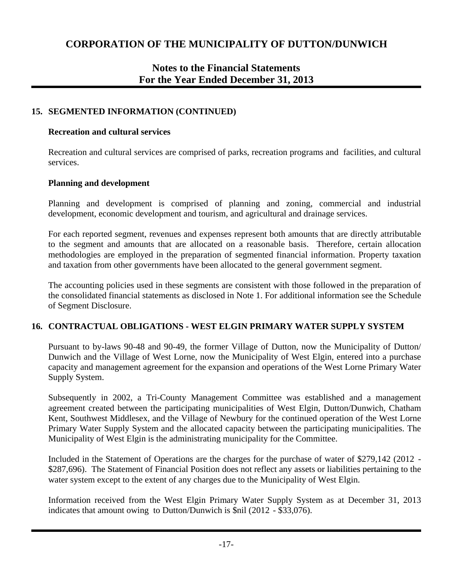### **Notes to the Financial Statements For the Year Ended December 31, 2013**

#### **15. SEGMENTED INFORMATION (CONTINUED)**

#### **Recreation and cultural services**

Recreation and cultural services are comprised of parks, recreation programs and facilities, and cultural services.

#### **Planning and development**

Planning and development is comprised of planning and zoning, commercial and industrial development, economic development and tourism, and agricultural and drainage services.

For each reported segment, revenues and expenses represent both amounts that are directly attributable to the segment and amounts that are allocated on a reasonable basis. Therefore, certain allocation methodologies are employed in the preparation of segmented financial information. Property taxation and taxation from other governments have been allocated to the general government segment.

The accounting policies used in these segments are consistent with those followed in the preparation of the consolidated financial statements as disclosed in Note 1. For additional information see the Schedule of Segment Disclosure.

### **16. CONTRACTUAL OBLIGATIONS - WEST ELGIN PRIMARY WATER SUPPLY SYSTEM**

Pursuant to by-laws 90-48 and 90-49, the former Village of Dutton, now the Municipality of Dutton/ Dunwich and the Village of West Lorne, now the Municipality of West Elgin, entered into a purchase capacity and management agreement for the expansion and operations of the West Lorne Primary Water Supply System.

Subsequently in 2002, a Tri-County Management Committee was established and a management agreement created between the participating municipalities of West Elgin, Dutton/Dunwich, Chatham Kent, Southwest Middlesex, and the Village of Newbury for the continued operation of the West Lorne Primary Water Supply System and the allocated capacity between the participating municipalities. The Municipality of West Elgin is the administrating municipality for the Committee.

Included in the Statement of Operations are the charges for the purchase of water of \$279,142 (2012 - \$287,696). The Statement of Financial Position does not reflect any assets or liabilities pertaining to the water system except to the extent of any charges due to the Municipality of West Elgin.

Information received from the West Elgin Primary Water Supply System as at December 31, 2013 indicates that amount owing to Dutton/Dunwich is \$nil (2012 - \$33,076).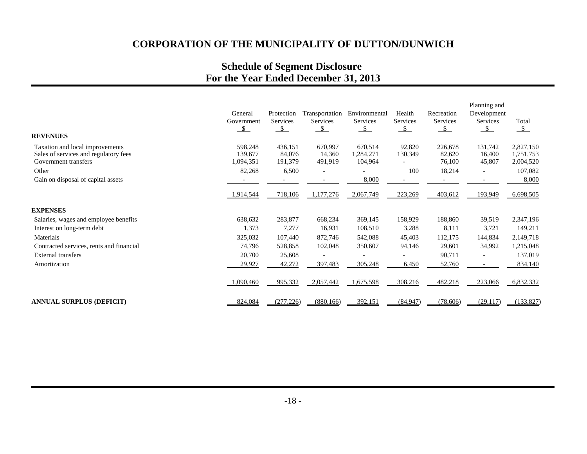# **Schedule of Segment Disclosure For the Year Ended December 31, 2013**

|                                          |               |               |                 |               |              |                 | Planning and             |                                   |
|------------------------------------------|---------------|---------------|-----------------|---------------|--------------|-----------------|--------------------------|-----------------------------------|
|                                          | General       | Protection    | Transportation  | Environmental | Health       | Recreation      | Development              |                                   |
|                                          | Government    | Services      | <b>Services</b> | Services      | Services     | <b>Services</b> | Services                 | Total                             |
|                                          | $\mathcal{S}$ | $\mathcal{S}$ | $\mathcal{S}$   | $\mathcal{S}$ | $\mathbb{S}$ | $\mathcal{S}$   | $\mathcal{S}$            | $\frac{\mathcal{S}}{\mathcal{S}}$ |
| <b>REVENUES</b>                          |               |               |                 |               |              |                 |                          |                                   |
| Taxation and local improvements          | 598,248       | 436,151       | 670,997         | 670,514       | 92,820       | 226,678         | 131,742                  | 2,827,150                         |
| Sales of services and regulatory fees    | 139,677       | 84,076        | 14,360          | 1,284,271     | 130,349      | 82,620          | 16,400                   | 1,751,753                         |
| Government transfers                     | 1,094,351     | 191,379       | 491,919         | 104,964       |              | 76,100          | 45,807                   | 2,004,520                         |
| Other                                    | 82,268        | 6,500         |                 |               | 100          | 18,214          | $\overline{\phantom{a}}$ | 107,082                           |
| Gain on disposal of capital assets       |               |               |                 | 8,000         |              |                 |                          | 8,000                             |
|                                          | 1,914,544     | 718,106       | 1,177,276       | 2,067,749     | 223,269      | 403,612         | 193,949                  | 6,698,505                         |
| <b>EXPENSES</b>                          |               |               |                 |               |              |                 |                          |                                   |
| Salaries, wages and employee benefits    | 638,632       | 283,877       | 668,234         | 369,145       | 158,929      | 188,860         | 39,519                   | 2,347,196                         |
| Interest on long-term debt               | 1,373         | 7,277         | 16,931          | 108,510       | 3,288        | 8,111           | 3,721                    | 149,211                           |
| Materials                                | 325,032       | 107,440       | 872,746         | 542,088       | 45,403       | 112,175         | 144,834                  | 2,149,718                         |
| Contracted services, rents and financial | 74,796        | 528,858       | 102,048         | 350,607       | 94,146       | 29,601          | 34,992                   | 1,215,048                         |
| External transfers                       | 20,700        | 25,608        |                 |               |              | 90,711          | $\overline{\phantom{a}}$ | 137,019                           |
| Amortization                             | 29,927        | 42,272        | 397,483         | 305,248       | 6,450        | 52,760          |                          | 834,140                           |
|                                          | 1,090,460     | 995,332       | 2,057,442       | 1,675,598     | 308,216      | 482,218         | 223,066                  | 6,832,332                         |
| <b>ANNUAL SURPLUS (DEFICIT)</b>          | 824,084       | (277, 226)    | (880, 166)      | 392,151       | (84, 947)    | (78,606)        | (29, 117)                | (133,827)                         |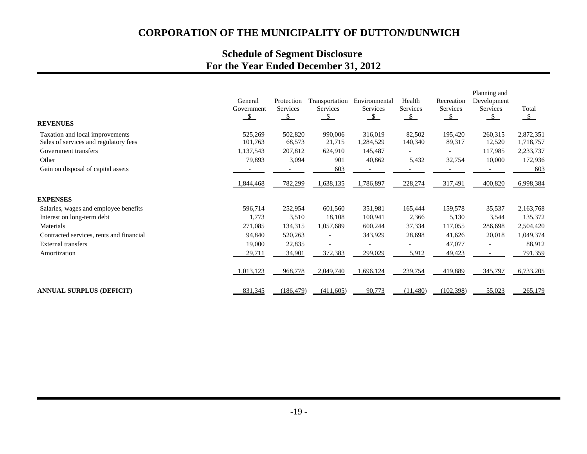# **Schedule of Segment Disclosure For the Year Ended December 31, 2012**

|                                          |                             |                             |                            |                           |                    |                          | Planning and             |               |
|------------------------------------------|-----------------------------|-----------------------------|----------------------------|---------------------------|--------------------|--------------------------|--------------------------|---------------|
|                                          | General<br>Government       | Protection<br>Services      | Transportation<br>Services | Environmental<br>Services | Health<br>Services | Recreation<br>Services   | Development<br>Services  | Total         |
|                                          | $\frac{\text{S}}{\text{S}}$ | $\frac{\text{S}}{\text{S}}$ | $\sqrt{s}$                 | $\sqrt{s}$                | $\sqrt{s}$         | $\sqrt{s}$               | $\sqrt{s}$               | $\frac{1}{2}$ |
| <b>REVENUES</b>                          |                             |                             |                            |                           |                    |                          |                          |               |
| Taxation and local improvements          | 525,269                     | 502,820                     | 990,006                    | 316,019                   | 82,502             | 195,420                  | 260,315                  | 2,872,351     |
| Sales of services and regulatory fees    | 101,763                     | 68,573                      | 21,715                     | 1,284,529                 | 140,340            | 89,317                   | 12,520                   | 1,718,757     |
| Government transfers                     | 1,137,543                   | 207,812                     | 624,910                    | 145,487                   |                    | $\overline{\phantom{a}}$ | 117,985                  | 2,233,737     |
| Other                                    | 79,893                      | 3,094                       | 901                        | 40,862                    | 5,432              | 32,754                   | 10,000                   | 172,936       |
| Gain on disposal of capital assets       |                             |                             | 603                        |                           |                    |                          |                          | 603           |
|                                          | 1,844,468                   | 782,299                     | 1,638,135                  | 1,786,897                 | 228,274            | 317,491                  | 400,820                  | 6,998,384     |
| <b>EXPENSES</b>                          |                             |                             |                            |                           |                    |                          |                          |               |
| Salaries, wages and employee benefits    | 596,714                     | 252,954                     | 601,560                    | 351,981                   | 165,444            | 159,578                  | 35,537                   | 2,163,768     |
| Interest on long-term debt               | 1,773                       | 3,510                       | 18,108                     | 100,941                   | 2,366              | 5,130                    | 3,544                    | 135,372       |
| Materials                                | 271,085                     | 134,315                     | 1,057,689                  | 600,244                   | 37,334             | 117,055                  | 286,698                  | 2,504,420     |
| Contracted services, rents and financial | 94,840                      | 520,263                     |                            | 343,929                   | 28,698             | 41,626                   | 20,018                   | 1,049,374     |
| <b>External transfers</b>                | 19,000                      | 22,835                      |                            | $\overline{\phantom{a}}$  |                    | 47,077                   | $\overline{\phantom{a}}$ | 88,912        |
| Amortization                             | 29,711                      | 34,901                      | 372,383                    | 299,029                   | 5,912              | 49,423                   |                          | 791,359       |
|                                          | 1,013,123                   | 968,778                     | 2,049,740                  | 1,696,124                 | 239,754            | 419,889                  | 345,797                  | 6,733,205     |
| <b>ANNUAL SURPLUS (DEFICIT)</b>          | 831,345                     | (186, 479)                  | (411,605)                  | 90,773                    | (11,480)           | (102, 398)               | 55,023                   | 265,179       |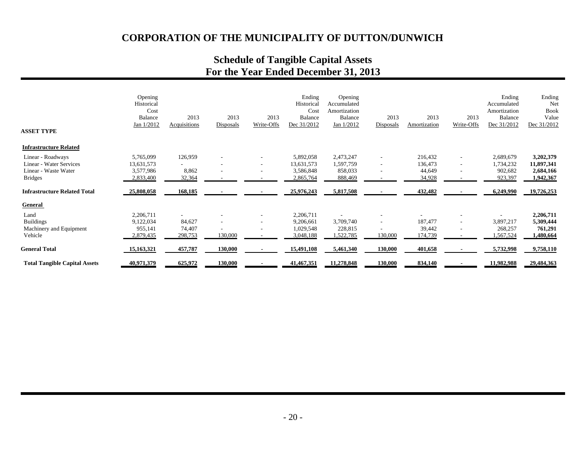# **Schedule of Tangible Capital Assets For the Year Ended December 31, 2013**

| <b>ASSET TYPE</b>                    | Opening<br>Historical<br>Cost<br>Balance<br>Jan 1/2012 | 2013<br>Acquisitions | 2013<br>Disposals | 2013<br>Write-Offs       | Ending<br>Historical<br>Cost<br><b>Balance</b><br>Dec 31/2012 | Opening<br>Accumulated<br>Amortization<br>Balance<br>Jan 1/2012 | 2013<br>Disposals | 2013<br>Amortization | 2013<br>Write-Offs       | Ending<br>Accumulated<br>Amortization<br>Balance<br>Dec 31/2012 | Ending<br>Net<br><b>Book</b><br>Value<br>Dec 31/2012 |
|--------------------------------------|--------------------------------------------------------|----------------------|-------------------|--------------------------|---------------------------------------------------------------|-----------------------------------------------------------------|-------------------|----------------------|--------------------------|-----------------------------------------------------------------|------------------------------------------------------|
| <b>Infrastructure Related</b>        |                                                        |                      |                   |                          |                                                               |                                                                 |                   |                      |                          |                                                                 |                                                      |
| Linear - Roadways                    | 5,765,099                                              | 126,959              |                   | $\overline{\phantom{a}}$ | 5,892,058                                                     | 2,473,247                                                       |                   | 216,432              | $\overline{\phantom{a}}$ | 2,689,679                                                       | 3,202,379                                            |
| Linear - Water Services              | 13,631,573                                             |                      |                   | $\overline{\phantom{a}}$ | 13,631,573                                                    | 1,597,759                                                       | $\sim$            | 136,473              | $\sim$                   | 1,734,232                                                       | 11,897,341                                           |
| Linear - Waste Water                 | 3,577,986                                              | 8,862                |                   | $\overline{\phantom{a}}$ | 3,586,848                                                     | 858,033                                                         | $\sim$            | 44,649               | ٠                        | 902,682                                                         | 2,684,166                                            |
| <b>Bridges</b>                       | 2,833,400                                              | 32,364               |                   |                          | 2,865,764                                                     | 888,469                                                         |                   | 34,928               |                          | 923,397                                                         | 1,942,367                                            |
| <b>Infrastructure Related Total</b>  | 25,808,058                                             | 168,185              |                   |                          | 25,976,243                                                    | 5,817,508                                                       |                   | 432,482              |                          | 6,249,990                                                       | 19,726,253                                           |
| General                              |                                                        |                      |                   |                          |                                                               |                                                                 |                   |                      |                          |                                                                 |                                                      |
| Land                                 | 2,206,711                                              |                      |                   |                          | 2,206,711                                                     |                                                                 |                   |                      |                          |                                                                 | 2,206,711                                            |
| <b>Buildings</b>                     | 9,122,034                                              | 84,627               |                   | $\overline{\phantom{a}}$ | 9,206,661                                                     | 3,709,740                                                       | $\sim$            | 187,477              | $\overline{\phantom{a}}$ | 3,897,217                                                       | 5,309,444                                            |
| Machinery and Equipment              | 955,141                                                | 74,407               |                   |                          | 1,029,548                                                     | 228,815                                                         |                   | 39,442               |                          | 268,257                                                         | 761,291                                              |
| Vehicle                              | 2,879,435                                              | 298,753              | 130,000           |                          | 3,048,188                                                     | 1,522,785                                                       | 130,000           | 174,739              |                          | 1,567,524                                                       | 1,480,664                                            |
| <b>General Total</b>                 | 15,163,321                                             | 457,787              | 130,000           |                          | 15,491,108                                                    | 5,461,340                                                       | 130,000           | 401,658              |                          | 5,732,998                                                       | 9,758,110                                            |
| <b>Total Tangible Capital Assets</b> | 40,971,379                                             | 625,972              | 130,000           |                          | 41,467,351                                                    | 11,278,848                                                      | 130,000           | 834,140              |                          | 11,982,988                                                      | 29,484,363                                           |